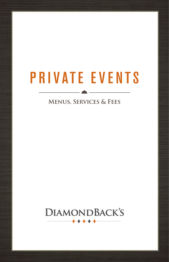# PRIVATE EVENTS

### **Menus, Services & Fees**

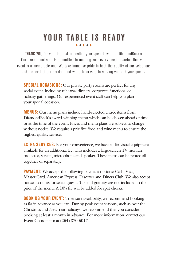## YOUR TABLE IS READY

**THANK YOU** for your interest in hosting your special event at DiamondBack's. Our exceptional staff is committed to meeting your every need, ensuring that your event is a memorable one. We take immense pride in both the quality of our selections and the level of our service, and we look forward to serving you and your guests.

**SPECIAL OCCASIONS:** Our private party rooms are perfect for any social event, including rehearsal dinners, corporate functions, or holiday gatherings. Our experienced event staff can help you plan your special occasion.

**MENUS:** Our menu plans include hand-selected entrée items from DiamondBack's award-winning menu which can be chosen ahead of time or at the time of the event. Prices and menu plans are subject to change without notice. We require a prix fixe food and wine menu to ensure the highest quality service.

**EXTRA SERVICES:** For your convenience, we have audio-visual equipment available for an additional fee. This includes a large-screen TV monitor, projector, screen, microphone and speaker. These items can be rented all together or separately.

**PAYMENT:** We accept the following payment options: Cash, Visa, Master Card, American Express, Discover and Diners Club. We also accept house accounts for select guests. Tax and gratuity are not included in the price of the menu. A 10% fee will be added for split checks.

**BOOKING YOUR EVENT:** To ensure availability, we recommend booking as far in advance as you can. During peak event seasons, such as over the Christmas and New Year holidays, we recommend that you consider booking at least a month in advance. For more information, contact our Event Coordinator at (254) 870-5017.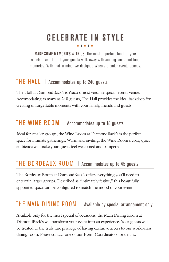## CELEBRATE IN STYLE

MAKE SOME MEMORIES WITH US. The most important facet of your special event is that your guests walk away with smiling faces and fond memories. With that in mind, we designed Waco's premier events spaces.

### THE HALL | Accommodates up to 240 guests

The Hall at DiamondBack's is Waco's most versatile special events venue. Accomodating as many as 240 guests, The Hall provides the ideal backdrop for creating unforgettable moments with your family, friends and guests.

### THE WINE ROOM | Accommodates up to 18 guests

Ideal for smaller groups, the Wine Room at DiamondBack's is the perfect space for intimate gatherings. Warm and inviting, the Wine Room's cozy, quiet ambience will make your guests feel welcomed and pampered.

### THE BORDEAUX ROOM | Accommodates up to 45 guests

The Bordeaux Room at DiamondBack's offers everything you'll need to entertain larger groups. Described as "intimately festive," this beautifully appointed space can be configured to match the mood of your event.

## THE MAIN DINING ROOM | Available by special arrangement only

Available only for the most special of occasions, the Main Dining Room at DiamondBack's will transform your event into an experience. Your guests will be treated to the truly rare privilege of having exclusive access to our world-class dining room. Please contact one of our Event Coordinators for details.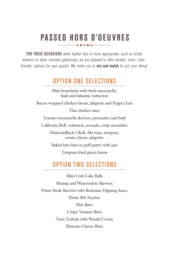## PASSED HORS D'OEUVRES

FOR THOSE OCCASIONS when lighter fare is more appropriate, such as bridal showers or other intimate gatherings, we are pleased to offer smaller, more "userfriendly" options for your guests. We invite you to **mix and match** to suit your liking!

### OPTION ONE SELECTIONS

Mini bruschetta with fresh mozzarella, basil and balsamic reduction

Bacon-wrapped chicken breast, jalapeño and Pepper Jack

Thai chicken satay

Tomato-mozzarella skewers, prosciutto and basil

California Roll: crabmeat, avocado, crisp cucumber

DiamondBack's Roll: Ahi tuna, tempura, cream cheese, jalapeño

Baked brie bites in puff pastry with jam

Tempura-fried green beans

## OPTION TWO SELECTIONS

Mini Crab Cake Balls Shrimp and Watermelon Skewers Prime Steak Skewers with Béarnaise Dipping Sauce Prime Rib Nachos Filet Bites Crispy Venison Bites Tuna Tostada with Wasabi Cream Pimento Cheese Bites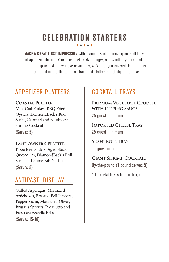## CELEBRATION STARTERS

MAKE A GREAT FIRST IMPRESSION with DiamondBack's amazing cocktail trays and appetizer platters. Your guests will arrive hungry, and whether you're feeding a large group or just a few close associates, we've got you covered. From lighter fare to sumptuous delights, these trays and platters are designed to please.

## APPETIZER PLATTERS | COCKTAIL TRAYS

**Coastal Platter** Mini Crab Cakes, BBQ Fried Oysters, DiamondBack's Roll Sushi, Calamari and Southwest Shrimp Cocktail (Serves 5)

#### **Landowner's Platter** Kobe Beef Sliders, Aged Steak Quesadillas, DiamondBack's Roll Sushi and Prime Rib Nachos (Serves 5)

## ANTIPASTI DISPLAY

Grilled Asparagus, Marinated Artichokes, Roasted Bell Peppers, Pepperoncini, Marinated Olives, Brussels Sprouts, Prosciutto and Fresh Mozzarella Balls

(Serves 15-18)

**Premium Vegetable Crudité with Dipping Sauce** 25 guest minimum

**Imported Cheese Tray** 25 guest minimum

**Sushi Roll Tray** 10 guest minimum

**Giant Shrimp Cocktail** By-the-pound (1 pound serves 5)

Note: cocktail trays subject to change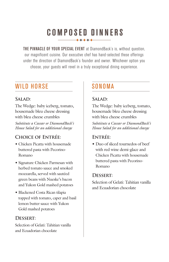## COMPOSED DINNERS

THE PINNACLE OF YOUR SPECIAL EVENT at DiamondBack's is, without question, our magnificent cuisine. Our executive chef has hand-selected these offerings under the direction of DiamondBack's founder and owner. Whichever option you choose, your guests will revel in a truly exceptional dining experience.

## WILD HORSE SONOMA

#### SALAD:

The Wedge: baby iceberg, tomato, housemade bleu cheese dressing with bleu cheese crumbles *Substitute a Caesar or DiamondBack's House Salad for an additional charge*

#### **Choice of Entrée:**

- Chicken Picatta with housemade buttered pasta with Pecorino-Romano
- Signature Chicken Parmesan with herbed tomato sauce and smoked mozzarella, served with sautéed green beans with Nueske's bacon and Yukon Gold mashed potatoes
- Blackened Costa Rican tilapia topped with tomato, caper and basil lemon butter sauce with Yukon Gold mashed potatoes

#### **Dessert:**

Selection of Gelati: Tahitian vanilla and Ecuadorian chocolate

#### SALAD:

The Wedge: baby iceberg, tomato, housemade bleu cheese dressing with bleu cheese crumbles

*Substitute a Caesar or DiamondBack's House Salad for an additional charge*

### **Entrée:**

• Duo of sliced tournedos of beef with red wine demi-glace and Chicken Picatta with housemade buttered pasta with Pecorino-Romano

#### **Dessert:**

Selection of Gelati: Tahitian vanilla and Ecuadorian chocolate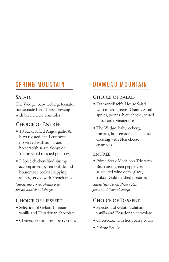## SPRING MOUNTAIN

#### **Salad:**

The Wedge: baby iceberg, tomato, housemade bleu cheese dressing with bleu cheese crumbles

#### **Choice of Entrée:**

- 10 oz. certified Angus garlic & herb roasted hand-cut prime rib served with au jus and horseradish sauce alongside Yukon Gold mashed potatoes
- 7 Spice chicken-fried shrimp accompanied by rémoulade and housemade cocktail dipping sauces, served with French fries

*Substitute 16 oz. Prime Rib for an additional charge*

### **Choice of Dessert:**

- Selection of Gelati: Tahitian vanilla and Ecuadorian chocolate
- Cheesecake with fresh berry coulis

## DIAMOND MOUNTAIN

#### **Choice of Salad:**

- DiamondBack's House Salad with mixed greens, Granny Smith apples, pecans, bleu cheese, tossed in balsamic vinaigrette
- The Wedge: baby iceberg, tomato, housemade bleu cheese dressing with bleu cheese crumbles

#### **Entrée:**

• Prime Steak Medallion Trio with Béarnaise, green peppercorn sauce, red wine demi-glace, Yukon Gold mashed potatoes

*Substitute 16 oz. Prime Rib for an additional charge*

#### **Choice of Dessert:**

- Selection of Gelati: Tahitian vanilla and Ecuadorian chocolate
- Cheesecake with fresh berry coulis
- Crème Brulée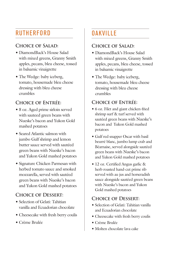## RUTHERFORD

#### **Choice of Salad:**

- DiamondBack's House Salad with mixed greens, Granny Smith apples, pecans, bleu cheese, tossed in balsamic vinaigrette
- The Wedge: baby iceberg, tomato, housemade bleu cheese dressing with bleu cheese crumbles

#### **Choice of Entrée:**

- 8 oz. Aged prime sirloin served with sauteed green beans with Nueske's bacon and Yukon Gold mashed potatoes
- Seared Atlantic salmon with jumbo Gulf shrimp and lemon butter sauce served with sautéed green beans with Nueske's bacon and Yukon Gold mashed potatoes
- Signature Chicken Parmesan with herbed tomato sauce and smoked mozzarella, served with sautéed green beans with Nueske's bacon and Yukon Gold mashed potatoes

#### **Choice of Dessert:**

- Selection of Gelati: Tahitian vanilla and Ecuadorian chocolate
- Cheesecake with fresh berry coulis
- Crème Brulée

## **OAKVILLE**

#### **Choice of Salad:**

- DiamondBack's House Salad with mixed greens, Granny Smith apples, pecans, bleu cheese, tossed in balsamic vinaigrette
- The Wedge: baby iceberg, tomato, housemade bleu cheese dressing with bleu cheese crumbles

### **Choice of Entrée:**

- 6 oz. Filet and giant chicken-fried shrimp surf & turf served with sautéed green beans with Nueske's bacon and Yukon Gold mashed potatoes
- Gulf red snapper Oscar with basil beurré blanc, jumbo lump crab and Béarnaise, served alongside sautéed green beans with Nueske's bacon and Yukon Gold mashed potatoes
- 12 oz. Certified Angus garlic & herb roasted hand-cut prime rib served with au jus and horseradish sauce alongside sautéed green beans with Nueske's bacon and Yukon Gold mashed potatoes

#### **Choice of Dessert:**

- Selection of Gelati: Tahitian vanilla and Ecuadorian chocolate
- Cheesecake with fresh berry coulis
- Crème Brulée
- Molten chocolate lava cake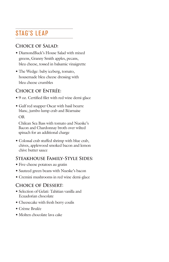## STAG'S LEAP

#### **Choice of Salad:**

- DiamondBack's House Salad with mixed greens, Granny Smith apples, pecans, bleu cheese, tossed in balsamic vinaigrette
- The Wedge: baby iceberg, tomato, housemade bleu cheese dressing with bleu cheese crumbles

#### **Choice of Entrée:**

- 9 oz. Certified filet with red wine demi-glace
- Gulf red snapper Oscar with basil beurre blanc, jumbo lump crab and Béarnaise OR

 Chilean Sea Bass with tomato and Nueske's Bacon and Chardonnay broth over wilted spinach for an additional charge

• Colossal crab stuffed shrimp with blue crab, chives, applewood smoked bacon and lemon chive butter sauce

#### **Steakhouse Family-Style Sides:**

- Five-cheese potatoes au gratin
- Sauteed green beans with Nueske's bacon
- Cremini mushrooms in red wine demi-glace

#### **Choice of Dessert:**

- Selection of Gelati: Tahitian vanilla and Ecuadorian chocolate
- Cheesecake with fresh berry coulis
- Crème Brulée
- Molten chocolate lava cake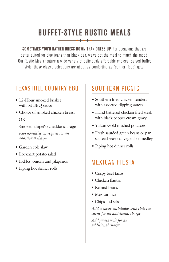## BUFFET-STYLE RUSTIC MEALS

SOMETIMES YOU'D RATHER DRESS DOWN THAN DRESS UP. For occasions that are better suited for blue jeans than black ties, we've got the meal to match the mood. Our Rustic Meals feature a wide variety of deliciously affordable choices. Served buffet style, these classic selections are about as comforting as "comfort food" gets!

## TEXAS HILL COUNTRY BBQ

- 12-Hour smoked brisket with pit BBQ sauce
- Choice of smoked chicken breast OR

 Smoked jalapeño cheddar sausage *Ribs available on request for an additional charge*

- Garden cole slaw
- Lockhart potato salad
- Pickles, onions and jalapeños
- Piping hot dinner rolls

## SOUTHERN PICNIC

- Southern fried chicken tenders with assorted dipping sauces
- Hand battered chicken fried steak with black pepper cream gravy
- Yukon Gold mashed potatoes
- Fresh sautéed green beans or pan sautéed seasonal vegetable medley
- Piping hot dinner rolls

## MEXICAN FIESTA

- Crispy beef tacos
- Chicken flautas
- Refried beans
- Mexican rice
- Chips and salsa

*Add a cheese enchiladas with chile con carne for an additional charge*

*Add guacamole for an additional charge*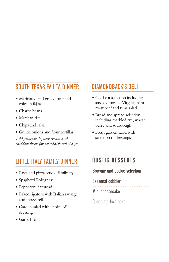## SOUTH TEXAS FAJITA DINNER

- Marinated and grilled beef and chicken fajitas
- Charro beans
- Mexican rice
- Chips and salsa
- Grilled onions and flour tortillas

*Add guacamole, sour cream and cheddar cheese for an additional charge*

## LITTLE ITALY FAMILY DINNER

- Pasta and pizza served family style
- Spaghetti Bolognese
- Pepperoni flatbread
- Baked rigatoni with Italian sausage and mozzarella
- Garden salad with choice of dressing
- Garlic bread

### DIAMONDBACK'S DELI

- Cold cut selection including smoked turkey, Virginia ham, roast beef and tuna salad
- Bread and spread selection including marbled rye, wheat berry and sourdough
- Fresh garden salad with selection of dressings

## RUSTIC DESSERTS

#### Brownie and cookie selection

Seasonal cobbler

Mini cheesecake

Chocolate lava cake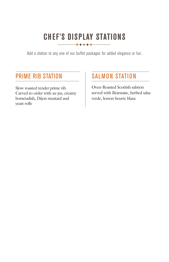## CHEF'S DISPLAY STATIONS

Add a station to any one of our buffet packages for added elegance or fun.

### PRIME RIB STATION

Slow roasted tender prime rib. Carved to order with au jus, creamy horseradish, Dijon mustard and yeast rolls

## SALMON STATION

Oven-Roasted Scottish salmon served with Béarnaise, herbed salsa verde, lemon beurre blanc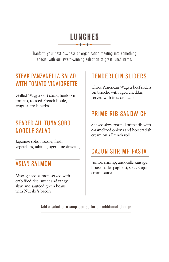## LUNCHES

Tranform your next business or organization meeting into something special with our award-winning selection of great lunch items.

## STEAK PANZANELLA SALAD WITH TOMATO VINAIGRETTE

Grilled Wagyu skirt steak, heirloom tomato, toasted French boule, arugula, fresh herbs

## SEARED AHI TUNA SOBO NOODLE SALAD

Japanese sobo noodle, fresh vegetables, tahini ginger-lime dressing

## ASIAN SALMON

Miso-glazed salmon served with crab fried rice, sweet and tangy slaw, and sautéed green beans with Nueske's bacon

## TENDERLOIN SLIDERS

Three American Wagyu beef sliders on brioche with aged cheddar; served with fries or a salad

## PRIME RIB SANDWICH

Shaved slow-roasted prime rib with caramelized onions and horseradish cream on a French roll

## CAJUN SHRIMP PASTA

Jumbo shrimp, andouille sausage, housemade spaghetti, spicy Cajun cream sauce

Add a salad or a soup course for an additional charge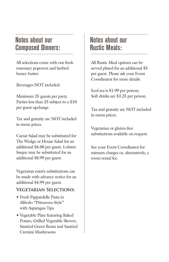## Notes about our Composed Dinners:

All selections come with our fresh rosemary popovers and herbed honey butter.

Beverages NOT included.

Minimum 25 guests per party. Parties less than 25 subject to a \$10 per guest upcharge.

Tax and gratuity are NOT included in menu prices.

Caesar Salad may be substituted for The Wedge or House Salad for an additional \$4.00 per guest. Lobster bisque may be substituted for an additional \$8.99 per guest.

Vegetarian entrée substitutions can be made with advance notice for an additional \$4.99 per guest.

#### **Vegetarian Selections:**

- Fresh Pappardelle Pasta in Alfredo "Primavera-Style" with Asparagus Tips
- Vegetable Plate featuring Baked Potato, Grilled Vegetable Skewer, Sautéed Green Beans and Sautéed Cremini Mushrooms

## Notes about our Rustic Meals:

All Rustic Meal options can be served plated for an additional \$5 per guest. Please ask your Event Coordinator for more details.

Iced tea is \$1.99 per person; Soft drinks are \$3.25 per person.

Tax and gratuity are NOT included in menu prices.

Vegetarian or gluten-free substitutions available on request.

See your Event Coordinator for mimum charges or, alternatively, a room rental fee.